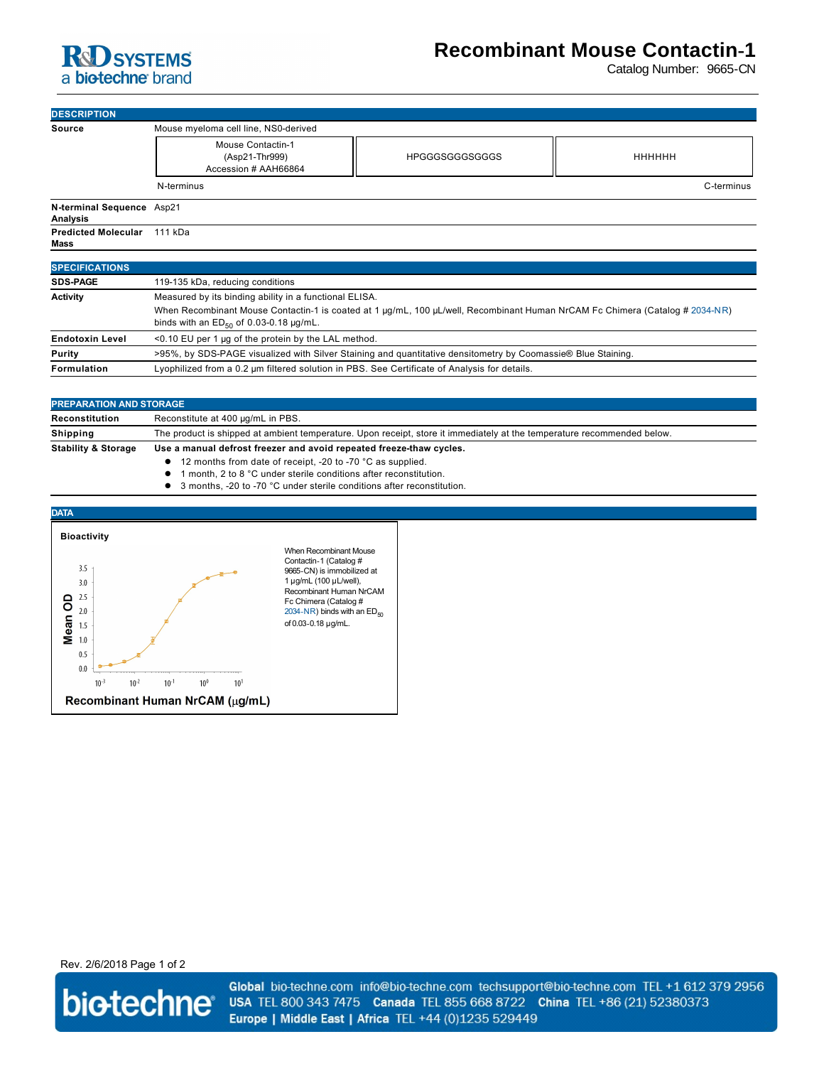

## **Recombinant Mouse Contactin-1**

Catalog Number: 9665-CN

| <b>DESCRIPTION</b>                    |                                                                    |                       |               |  |
|---------------------------------------|--------------------------------------------------------------------|-----------------------|---------------|--|
| <b>Source</b>                         | Mouse myeloma cell line, NS0-derived                               |                       |               |  |
|                                       | <b>Mouse Contactin-1</b><br>(Asp21-Thr999)<br>Accession # AAH66864 | <b>HPGGGSGGGSGGGS</b> | <b>НННННН</b> |  |
|                                       | N-terminus                                                         |                       | C-terminus    |  |
| N-terminal Sequence Asp21<br>Analysis |                                                                    |                       |               |  |
| <b>Predicted Molecular</b><br>Mass    | 111 kDa                                                            |                       |               |  |
| <b>SPECIFICATIONS</b>                 |                                                                    |                       |               |  |
| <b>SDS-PAGE</b>                       | 119-135 kDa, reducing conditions                                   |                       |               |  |
| <b>Activity</b>                       | Measured by its binding ability in a functional ELISA.             |                       |               |  |

| .                      |                                                                                                                              |  |  |
|------------------------|------------------------------------------------------------------------------------------------------------------------------|--|--|
|                        | When Recombinant Mouse Contactin-1 is coated at 1 µg/mL, 100 µL/well, Recombinant Human NrCAM Fc Chimera (Catalog # 2034-NR) |  |  |
|                        | binds with an $ED_{50}$ of 0.03-0.18 $\mu$ g/mL.                                                                             |  |  |
| <b>Endotoxin Level</b> | <0.10 EU per 1 µg of the protein by the LAL method.                                                                          |  |  |
| Purity                 | >95%, by SDS-PAGE visualized with Silver Staining and quantitative densitometry by Coomassie® Blue Staining.                 |  |  |
| Formulation            | Lyophilized from a 0.2 um filtered solution in PBS. See Certificate of Analysis for details.                                 |  |  |

| <b>PREPARATION AND STORAGE</b> |                                                                                                                         |  |  |
|--------------------------------|-------------------------------------------------------------------------------------------------------------------------|--|--|
| Reconstitution                 | Reconstitute at 400 µg/mL in PBS.                                                                                       |  |  |
| Shipping                       | The product is shipped at ambient temperature. Upon receipt, store it immediately at the temperature recommended below. |  |  |
| <b>Stability &amp; Storage</b> | Use a manual defrost freezer and avoid repeated freeze-thaw cycles.                                                     |  |  |
|                                | 12 months from date of receipt, -20 to -70 °C as supplied.                                                              |  |  |

- **1** month, 2 to 8 °C under sterile conditions after reconstitution.
- 3 months, -20 to -70 °C under sterile conditions after reconstitution.



Rev. 2/6/2018 Page 1 of 2



Global bio-techne.com info@bio-techne.com techsupport@bio-techne.com TEL +1 612 379 2956 USA TEL 800 343 7475 Canada TEL 855 668 8722 China TEL +86 (21) 52380373 Europe | Middle East | Africa TEL +44 (0)1235 529449